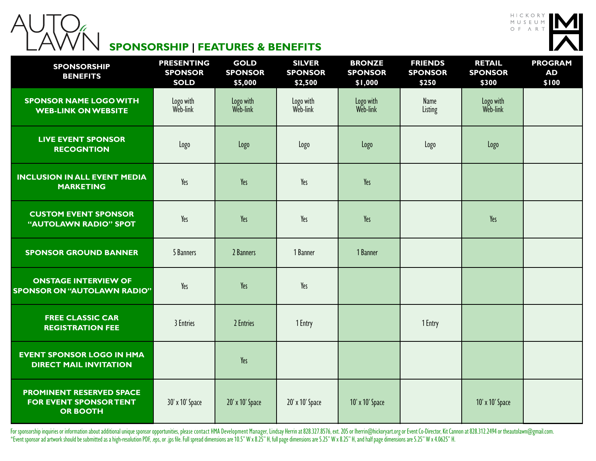HICKORY MUSEUM N

## **SPONSORSHIP | FEATURES & BENEFITS**

| <b>SPONSORSHIP</b><br><b>BENEFITS</b>                                        | <b>PRESENTING</b><br><b>SPONSOR</b><br><b>SOLD</b> | <b>GOLD</b><br><b>SPONSOR</b><br>\$5,000 | <b>SILVER</b><br><b>SPONSOR</b><br>\$2,500 | <b>BRONZE</b><br><b>SPONSOR</b><br>\$1,000 | <b>FRIENDS</b><br><b>SPONSOR</b><br>\$250 | <b>RETAIL</b><br><b>SPONSOR</b><br>\$300 | <b>PROGRAM</b><br><b>AD</b><br>\$100 |
|------------------------------------------------------------------------------|----------------------------------------------------|------------------------------------------|--------------------------------------------|--------------------------------------------|-------------------------------------------|------------------------------------------|--------------------------------------|
| <b>SPONSOR NAME LOGO WITH</b><br><b>WEB-LINK ON WEBSITE</b>                  | Logo with<br>Web-link                              | Logo with<br>Web-link                    | Logo with<br>Web-link                      | Logo with<br>Web-link                      | Name<br>Listing                           | Logo with<br>Web-link                    |                                      |
| <b>LIVE EVENT SPONSOR</b><br><b>RECOGNTION</b>                               | Logo                                               | Logo                                     | Logo                                       | Logo                                       | Logo                                      | Logo                                     |                                      |
| <b>INCLUSION IN ALL EVENT MEDIA</b><br><b>MARKETING</b>                      | Yes                                                | Yes                                      | Yes                                        | Yes                                        |                                           |                                          |                                      |
| <b>CUSTOM EVENT SPONSOR</b><br>"AUTOLAWN RADIO" SPOT                         | Yes                                                | Yes                                      | Yes                                        | Yes                                        |                                           | Yes                                      |                                      |
| <b>SPONSOR GROUND BANNER</b>                                                 | 5 Banners                                          | 2 Banners                                | 1 Banner                                   | 1 Banner                                   |                                           |                                          |                                      |
| <b>ONSTAGE INTERVIEW OF</b><br><b>SPONSOR ON "AUTOLAWN RADIO"</b>            | Yes                                                | Yes                                      | Yes                                        |                                            |                                           |                                          |                                      |
| <b>FREE CLASSIC CAR</b><br><b>REGISTRATION FEE</b>                           | 3 Entries                                          | 2 Entries                                | 1 Entry                                    |                                            | 1 Entry                                   |                                          |                                      |
| <b>EVENT SPONSOR LOGO IN HMA</b><br><b>DIRECT MAIL INVITATION</b>            |                                                    | Yes                                      |                                            |                                            |                                           |                                          |                                      |
| <b>PROMINENT RESERVED SPACE</b><br>FOR EVENT SPONSOR TENT<br><b>OR BOOTH</b> | 30' x 10' Space                                    | 20' x 10' Space                          | 20' x 10' Space                            | 10' x 10' Space                            |                                           | 10' x 10' Space                          |                                      |

For sponsorship inquiries or information about additional unique sponsor opportunities, please contact HMA Development Manager, Lindsay Herrin at 828.327.8576, ext. 205 or Iherrin@hickoryart.org or Event Co-Director, Kit C \*Event sponsor ad artwork should be submitted as a high-resolution PDF, eps, or .jps file. Full spread dimensions are 10.5" W x 8.25" H, full page dimensions are 5.25" W x 8.25" H, and half page dimensions are 5.25" W x 4.